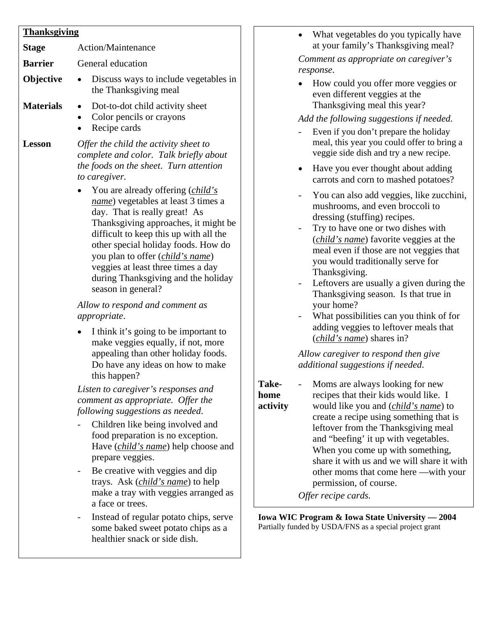| Stage            | Action/Maintenance                                                                                                                                                                                                                                                                                                                                                                         |
|------------------|--------------------------------------------------------------------------------------------------------------------------------------------------------------------------------------------------------------------------------------------------------------------------------------------------------------------------------------------------------------------------------------------|
| <b>Barrier</b>   | General education                                                                                                                                                                                                                                                                                                                                                                          |
| Objective        | Discuss ways to include vegetables in<br>the Thanksgiving meal                                                                                                                                                                                                                                                                                                                             |
| <b>Materials</b> | Dot-to-dot child activity sheet<br>Color pencils or crayons<br>Recipe cards                                                                                                                                                                                                                                                                                                                |
| <b>Lesson</b>    | Offer the child the activity sheet to<br>complete and color. Talk briefly about<br>the foods on the sheet. Turn attention<br>to caregiver.                                                                                                                                                                                                                                                 |
|                  | You are already offering ( <i>child's</i><br>name) vegetables at least 3 times a<br>day. That is really great! As<br>Thanksgiving approaches, it might be<br>difficult to keep this up with all the<br>other special holiday foods. How do<br>you plan to offer ( <i>child's name</i> )<br>veggies at least three times a day<br>during Thanksgiving and the holiday<br>season in general? |
|                  | Allow to respond and comment as<br>appropriate.                                                                                                                                                                                                                                                                                                                                            |
|                  | I think it's going to be important to<br>make veggies equally, if not, more<br>appealing than other holiday foods.<br>Do have any ideas on how to make<br>this happen?                                                                                                                                                                                                                     |
|                  | Listen to caregiver's responses and<br>comment as appropriate. Offer the<br>following suggestions as needed.                                                                                                                                                                                                                                                                               |
|                  | Children like being involved and<br>food preparation is no exception.<br>Have <i>(child's name)</i> help choose and<br>prepare veggies.                                                                                                                                                                                                                                                    |
|                  | Be creative with veggies and dip<br>trays. Ask ( <i>child's name</i> ) to help<br>make a tray with veggies arranged as<br>a face or trees.                                                                                                                                                                                                                                                 |
|                  | Instead of regular potato chips, serve<br>some baked sweet potato chips as a<br>healthier snack or side dish.                                                                                                                                                                                                                                                                              |

- What vegetables do you typically have at your family's Thanksgiving meal? *Comment as appropriate on caregiver's response*.
- How could you offer more veggies or even different veggies at the Thanksgiving meal this year?

#### *Add the following suggestions if needed.*

- Even if you don't prepare the holiday meal, this year you could offer to bring a veggie side dish and try a new recipe.
- Have you ever thought about adding carrots and corn to mashed potatoes?
- You can also add veggies, like zucchini, mushrooms, and even broccoli to dressing (stuffing) recipes.
- Try to have one or two dishes with (*child's name*) favorite veggies at the meal even if those are not veggies that you would traditionally serve for Thanksgiving.
- Leftovers are usually a given during the Thanksgiving season. Is that true in your home?
- What possibilities can you think of for adding veggies to leftover meals that (*child's name*) shares in?

*Allow caregiver to respond then give additional suggestions if needed*.

- **Takehome**
- **activity**  - Moms are always looking for new recipes that their kids would like. I would like you and (*child's name*) to create a recipe using something that is leftover from the Thanksgiving meal and "beefing' it up with vegetables. When you come up with something, share it with us and we will share it with other moms that come here —with your permission, of course.

*Offer recipe cards.* 

**Iowa WIC Program & Iowa State University — 2004**  Partially funded by USDA/FNS as a special project grant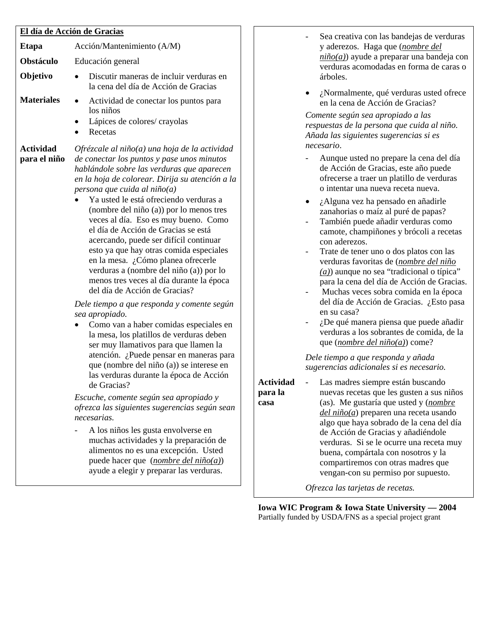#### **El día de Acción de Gracias**

| El día de Acción de Gracias      |                                                                                                                                                                                                                                                                                                                                                                                                                                                                                                                                                                                                                          |  |
|----------------------------------|--------------------------------------------------------------------------------------------------------------------------------------------------------------------------------------------------------------------------------------------------------------------------------------------------------------------------------------------------------------------------------------------------------------------------------------------------------------------------------------------------------------------------------------------------------------------------------------------------------------------------|--|
| Etapa                            | Acción/Mantenimiento (A/M)                                                                                                                                                                                                                                                                                                                                                                                                                                                                                                                                                                                               |  |
| <b>Obstáculo</b>                 | Educación general                                                                                                                                                                                                                                                                                                                                                                                                                                                                                                                                                                                                        |  |
| Objetivo                         | Discutir maneras de incluir verduras en<br>la cena del día de Acción de Gracias                                                                                                                                                                                                                                                                                                                                                                                                                                                                                                                                          |  |
| <b>Materiales</b>                | Actividad de conectar los puntos para<br>los niños<br>Lápices de colores/crayolas<br>Recetas                                                                                                                                                                                                                                                                                                                                                                                                                                                                                                                             |  |
| <b>Actividad</b><br>para el niño | $Ofr$ ézcale al niño(a) una hoja de la actividad<br>de conectar los puntos y pase unos minutos<br>hablándole sobre las verduras que aparecen<br>en la hoja de colorear. Dirija su atención a la<br>persona que cuida al niño(a)<br>Ya usted le está ofreciendo verduras a<br>(nombre del niño $(a)$ ) por lo menos tres<br>veces al día. Eso es muy bueno. Como<br>el día de Acción de Gracias se está<br>acercando, puede ser difícil continuar<br>esto ya que hay otras comida especiales<br>en la mesa. ¿Cómo planea ofrecerle<br>verduras a (nombre del niño (a)) por lo<br>menos tres veces al día durante la época |  |

*Dele tiempo a que responda y comente según sea apropiado.*

• Como van a haber comidas especiales en la mesa, los platillos de verduras deben ser muy llamativos para que llamen la atención. ¿Puede pensar en maneras para que (nombre del niño (a)) se interese en las verduras durante la época de Acción de Gracias?

*Escuche, comente según sea apropiado y ofrezca las siguientes sugerencias según sean necesarias.*

- A los niños les gusta envolverse en muchas actividades y la preparación de alimentos no es una excepción. Usted puede hacer que (*nombre del niño(a)*) ayude a elegir y preparar las verduras.

- Sea creativa con las bandejas de verduras y aderezos. Haga que (*nombre del niño(a)*) ayude a preparar una bandeja con verduras acomodadas en forma de caras o árboles.
- ¿Normalmente, qué verduras usted ofrece en la cena de Acción de Gracias?

*Comente según sea apropiado a las respuestas de la persona que cuida al niño. Añada las siguientes sugerencias si es necesario*.

- Aunque usted no prepare la cena del día de Acción de Gracias, este año puede ofrecerse a traer un platillo de verduras o intentar una nueva receta nueva.
- ¿Alguna vez ha pensado en añadirle zanahorias o maíz al puré de papas?
- También puede añadir verduras como camote, champiñones y brócoli a recetas con aderezos.
- Trate de tener uno o dos platos con las verduras favoritas de (*nombre del niño (a)*) aunque no sea "tradicional o típica" para la cena del día de Acción de Gracias.
- Muchas veces sobra comida en la época del día de Acción de Gracias. ¿Esto pasa en su casa?
- ¿De qué manera piensa que puede añadir verduras a los sobrantes de comida, de la que (*nombre del niño(a)*) come?

*Dele tiempo a que responda y añada sugerencias adicionales si es necesario.*

- **Actividad para la casa**
- Las madres siempre están buscando nuevas recetas que les gusten a sus niños (as). Me gustaría que usted y (*nombre del niño(a*) preparen una receta usando algo que haya sobrado de la cena del día de Acción de Gracias y añadiéndole verduras. Si se le ocurre una receta muy buena, compártala con nosotros y la compartiremos con otras madres que vengan-con su permiso por supuesto.

*Ofrezca las tarjetas de recetas.* 

**Iowa WIC Program & Iowa State University — 2004**  Partially funded by USDA/FNS as a special project grant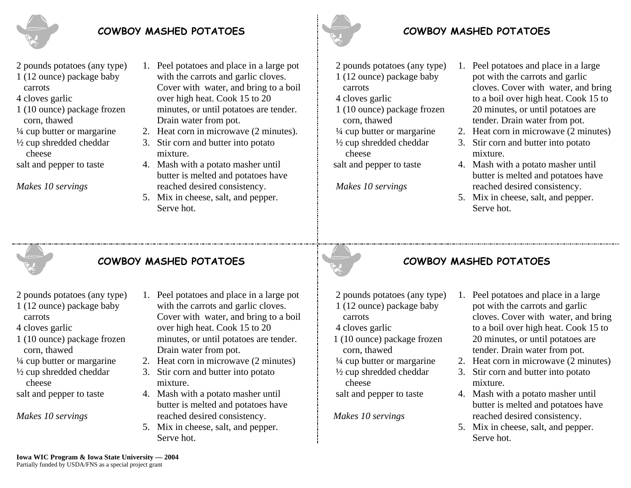

## **COWBOY MASHED POTATOES**

- 2 pounds potatoes (any type)
- 1 (12 ounce) package baby carrots
- 4 cloves garlic
- 1 (10 ounce) package frozen corn, thawed
- ¼ cup butter or margarine
- ½ cup shredded cheddar cheese
- salt and pepper to taste

*Makes 10 servings* 

- 1. Peel potatoes and place in a large pot with the carrots and garlic cloves. Cover with water, and bring to a boil over high heat. Cook 15 to 20 minutes, or until potatoes are tender. Drain water from pot.
- 2. Heat corn in microwave (2 minutes).
- 3. Stir corn and butter into potato mixture.
- 4. Mash with a potato masher until butter is melted and potatoes have reached desired consistency.
- 5. Mix in cheese, salt, and pepper. Serve hot.



## **COWBOY MASHED POTATOES**

- 2 pounds potatoes (any type) 1 (12 ounce) package baby carrots
- 4 cloves garlic
- 1 (10 ounce) package frozen corn, thawed
- ¼ cup butter or margarine
- ½ cup shredded cheddar cheese
- salt and pepper to taste

 *Makes 10 servings* 

- 1. Peel potatoes and place in a large pot with the carrots and garlic cloves. Cover with water, and bring to a boil over high heat. Cook 15 to 20 minutes, or until potatoes are tender. Drain water from pot.
- 2. Heat corn in microwave (2 minutes)
- 3. Stir corn and butter into potato mixture.
- 4. Mash with a potato masher until butter is melted and potatoes have reached desired consistency.
- 5. Mix in cheese, salt, and pepper. Serve hot.



# **COWBOY MASHED POTATOES**

- 2 pounds potatoes (any type)
- 1 (12 ounce) package baby carrots
- 4 cloves garlic
- 1 (10 ounce) package frozen corn, thawed
- ¼ cup butter or margarine
- ½ cup shredded cheddar
- cheese
- salt and pepper to taste

*Makes 10 servings* 

- 1. Peel potatoes and place in a large pot with the carrots and garlic cloves. Cover with water, and bring to a boil over high heat. Cook 15 to 20 minutes, or until potatoes are tender. Drain water from pot.
- 2. Heat corn in microwave (2 minutes)
- 3. Stir corn and butter into potato mixture.
- 4. Mash with a potato masher until butter is melted and potatoes have reached desired consistency.
- 5. Mix in cheese, salt, and pepper. Serve hot.

# **COWBOY MASHED POTATOES**

- 2 pounds potatoes (any type)
- 1 (12 ounce) package baby carrots
- 4 cloves garlic
- 1 (10 ounce) package frozen corn, thawed
- ¼ cup butter or margarine
- ½ cup shredded cheddar cheese
- salt and pepper to taste
- *Makes 10 servings*
- 1. Peel potatoes and place in a large pot with the carrots and garlic cloves. Cover with water, and bring to a boil over high heat. Cook 15 to 20 minutes, or until potatoes are tender. Drain water from pot.
- 2. Heat corn in microwave (2 minutes)
- 3. Stir corn and butter into potato mixture.
- 4. Mash with a potato masher until butter is melted and potatoes have reached desired consistency.
- 5. Mix in cheese, salt, and pepper. Serve hot.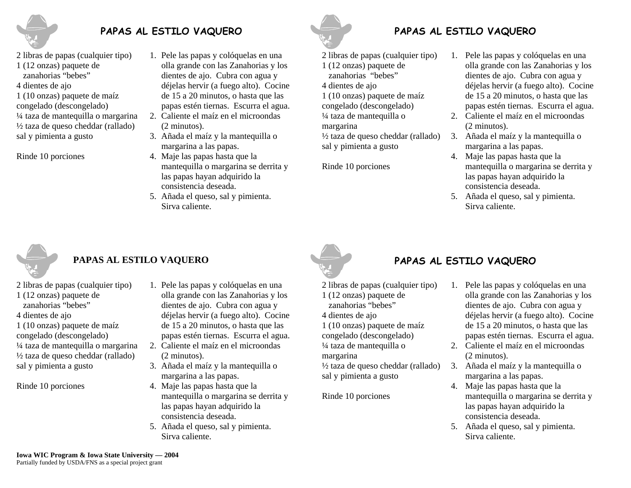

## **PAPAS AL ESTILO VAQUERO**

- 2 libras de papas (cualquier tipo)
- 1 (12 onzas) paquete de
- zanahorias "bebes"
- 4 dientes de ajo
- 1 (10 onzas) paquete de maíz congelado (descongelado)
- ¼ taza de mantequilla o margarina ½ taza de queso cheddar (rallado) sal y pimienta a gusto

Rinde 10 porciones

- 1. Pele las papas y colóquelas en una olla grande con las Zanahorias y los dientes de ajo. Cubra con agua y déjelas hervir (a fuego alto). Cocine de 15 a 20 minutos, o hasta que las papas estén tiernas. Escurra el agua. 2. Caliente el maíz en el microondas
- (2 minutos).
- 3. Añada el maíz y la mantequilla o margarina a las papas.
- 4. Maje las papas hasta que la mantequilla o margarina se derrita y las papas hayan adquirido la consistencia deseada.
- 5. Añada el queso, sal y pimienta. Sirva caliente.



## **PAPAS AL ESTILO VAQUERO**

2 libras de papas (cualquier tipo)

- 1 (12 onzas) paquete de
- zanahorias "bebes"

4 dientes de ajo 1 (10 onzas) paquete de maíz congelado (descongelado) ¼ taza de mantequilla o

margarina

½ taza de queso cheddar (rallado) sal y pimienta a gusto

Rinde 10 porciones

- 1. Pele las papas y colóquelas en una olla grande con las Zanahorias y los dientes de ajo. Cubra con agua y déjelas hervir (a fuego alto). Cocine de 15 a 20 minutos, o hasta que las papas estén tiernas. Escurra el agua.
- 2. Caliente el maíz en el microondas (2 minutos).
- 3. Añada el maíz y la mantequilla o margarina a las papas.
- 4. Maje las papas hasta que la mantequilla o margarina se derrita y las papas hayan adquirido la consistencia deseada.
- 5. Añada el queso, sal y pimienta. Sirva caliente.



# **PAPAS AL ESTILO VAQUERO**

2 libras de papas (cualquier tipo) 1 (12 onzas) paquete de zanahorias "bebes" 4 dientes de ajo 1 (10 onzas) paquete de maíz congelado (descongelado) ¼ taza de mantequilla o margarina ½ taza de queso cheddar (rallado) sal y pimienta a gusto

Rinde 10 porciones

- 1. Pele las papas y colóquelas en una olla grande con las Zanahorias y los dientes de ajo. Cubra con agua y déjelas hervir (a fuego alto). Cocine de 15 a 20 minutos, o hasta que las papas estén tiernas. Escurra el agua. 2. Caliente el maíz en el microondas
- (2 minutos).
- 3. Añada el maíz y la mantequilla o margarina a las papas.
- 4. Maje las papas hasta que la mantequilla o margarina se derrita y las papas hayan adquirido la consistencia deseada.
- 5. Añada el queso, sal y pimienta. Sirva caliente.



## **PAPAS AL ESTILO VAQUERO**

- 2 libras de papas (cualquier tipo)
- 1 (12 onzas) paquete de
- zanahorias "bebes"
- 4 dientes de ajo
- 1 (10 onzas) paquete de maíz
- congelado (descongelado)
- ¼ taza de mantequilla o

margarina

½ taza de queso cheddar (rallado) sal y pimienta a gusto

Rinde 10 porciones

- 1. Pele las papas y colóquelas en una olla grande con las Zanahorias y los dientes de ajo. Cubra con agua y déjelas hervir (a fuego alto). Cocine de 15 a 20 minutos, o hasta que las papas estén tiernas. Escurra el agua.
- 2. Caliente el maíz en el microondas (2 minutos).
- 3. Añada el maíz y la mantequilla o margarina a las papas.
- 4. Maje las papas hasta que la mantequilla o margarina se derrita y las papas hayan adquirido la consistencia deseada.
- 5. Añada el queso, sal y pimienta. Sirva caliente.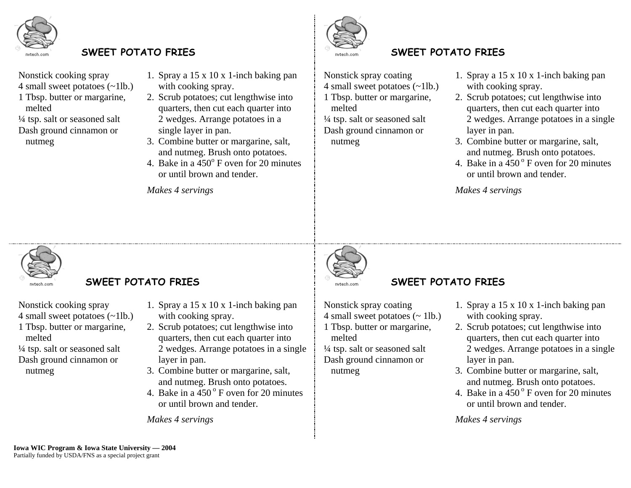

### **SWEET POTATO FRIES SWEET POTATO FRIES**

- Nonstick cooking spray
- 4 small sweet potatoes (~1lb.)
- 1 Tbsp. butter or margarine, melted

 ¼ tsp. salt or seasoned salt Dash ground cinnamon or nutmeg

- 1. Spray a 15 x 10 x 1-inch baking pan with cooking spray.
- 2. Scrub potatoes; cut lengthwise into quarters, then cut each quarter into 2 wedges. Arrange potatoes in a single layer in pan.
- 3. Combine butter or margarine, salt, and nutmeg. Brush onto potatoes.
- 4. Bake in a  $\overline{450^\circ}$  F oven for 20 minutes or until brown and tender.

*Makes 4 servings*



 Nonstick spray coating 4 small sweet potatoes (~1lb.) 1 Tbsp. butter or margarine, melted ¼ tsp. salt or seasoned salt Dash ground cinnamon or nutmeg

- 1. Spray a 15 x 10 x 1-inch baking pan with cooking spray.
- 2. Scrub potatoes; cut lengthwise into quarters, then cut each quarter into 2 wedges. Arrange potatoes in a single layer in pan.
- 3. Combine butter or margarine, salt, and nutmeg. Brush onto potatoes.
- 4. Bake in a  $450^{\circ}$  F oven for 20 minutes or until brown and tender.

*Makes 4 servings*



#### **SWEET POTATO FRIES SWEET POTATO FRIES**

Nonstick cooking spray

- 4 small sweet potatoes (~1lb.)
- 1 Tbsp. butter or margarine, melted

 ¼ tsp. salt or seasoned salt Dash ground cinnamon or nutmeg

- 1. Spray a 15 x 10 x 1-inch baking pan with cooking spray.
- 2. Scrub potatoes; cut lengthwise into quarters, then cut each quarter into 2 wedges. Arrange potatoes in a single layer in pan.
- 3. Combine butter or margarine, salt, and nutmeg. Brush onto potatoes.
- 4. Bake in a  $450^{\circ}$  F oven for 20 minutes or until brown and tender.



 Nonstick spray coating 4 small sweet potatoes  $($   $\sim$  1lb.) 1 Tbsp. butter or margarine, melted

 ¼ tsp. salt or seasoned salt Dash ground cinnamon or nutmeg

- 1. Spray a 15 x 10 x 1-inch baking pan with cooking spray.
- 2. Scrub potatoes; cut lengthwise into quarters, then cut each quarter into 2 wedges. Arrange potatoes in a single layer in pan.
- 3. Combine butter or margarine, salt, and nutmeg. Brush onto potatoes.
- 4. Bake in a  $450^{\circ}$  F oven for 20 minutes or until brown and tender.

*Makes 4 servings*

*Makes 4 servings*